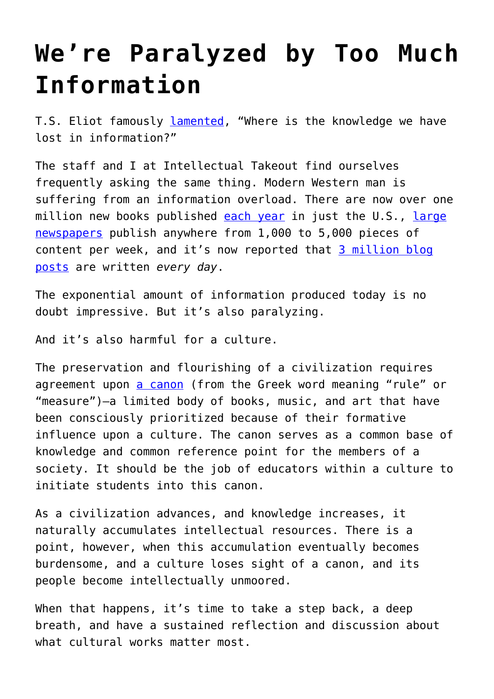## **[We're Paralyzed by Too Much](https://intellectualtakeout.org/2016/12/were-paralyzed-by-too-much-information/) [Information](https://intellectualtakeout.org/2016/12/were-paralyzed-by-too-much-information/)**

T.S. Eliot famously [lamented](https://www.intellectualtakeout.org/blog/how-dark-age-begins), "Where is the knowledge we have lost in information?"

The staff and I at Intellectual Takeout find ourselves frequently asking the same thing. Modern Western man is suffering from an information overload. There are now over one million new books published [each year](https://www.bkconnection.com/the-10-awful-truths-about-book-publishing?redirected=true) in just the U.S., [large](http://www.theatlantic.com/technology/archive/2016/05/how-many-stories-do-newspapers-publish-per-day/483845/) [newspapers](http://www.theatlantic.com/technology/archive/2016/05/how-many-stories-do-newspapers-publish-per-day/483845/) publish anywhere from 1,000 to 5,000 pieces of content per week, and it's now reported that [3 million blog](http://www.worldometers.info/blogs/) [posts](http://www.worldometers.info/blogs/) are written *every day*.

The exponential amount of information produced today is no doubt impressive. But it's also paralyzing.

And it's also harmful for a culture.

The preservation and flourishing of a civilization requires agreement upon [a canon](https://en.wikipedia.org/wiki/Western_canon) (from the Greek word meaning "rule" or "measure")—a limited body of books, music, and art that have been consciously prioritized because of their formative influence upon a culture. The canon serves as a common base of knowledge and common reference point for the members of a society. It should be the job of educators within a culture to initiate students into this canon.

As a civilization advances, and knowledge increases, it naturally accumulates intellectual resources. There is a point, however, when this accumulation eventually becomes burdensome, and a culture loses sight of a canon, and its people become intellectually unmoored.

When that happens, it's time to take a step back, a deep breath, and have a sustained reflection and discussion about what cultural works matter most.